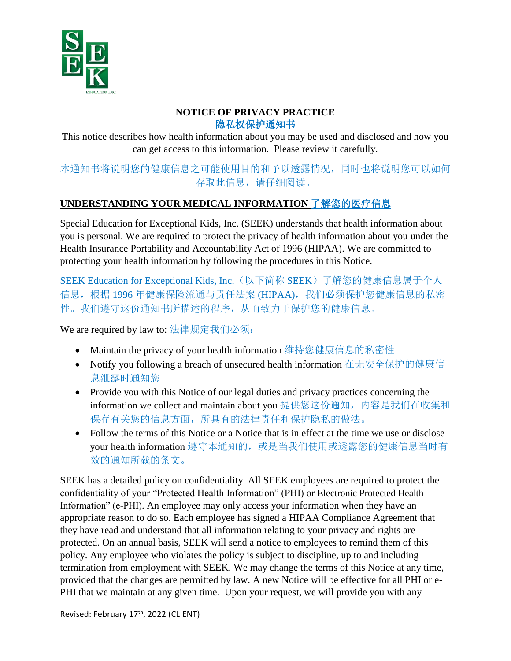

#### **NOTICE OF PRIVACY PRACTICE** 隐私权保护通知书

This notice describes how health information about you may be used and disclosed and how you can get access to this information. Please review it carefully.

# 本通知书将说明您的健康信息之可能使用目的和予以透露情况,同时也将说明您可以如何 存取此信息,请仔细阅读。

### **UNDERSTANDING YOUR MEDICAL INFORMATION** 了解您的医疗信息

Special Education for Exceptional Kids, Inc. (SEEK) understands that health information about you is personal. We are required to protect the privacy of health information about you under the Health Insurance Portability and Accountability Act of 1996 (HIPAA). We are committed to protecting your health information by following the procedures in this Notice.

SEEK Education for Exceptional Kids, Inc.(以下简称 SEEK)了解您的健康信息属于个人 信息, 根据 1996年健康保险流通与责任法案 (HIPAA), 我们必须保护您健康信息的私密 性。我们遵守这份通知书所描述的程序,从而致力于保护您的健康信息。

We are required by law to: 法律规定我们必须:

- Maintain the privacy of your health information 维持您健康信息的私密性
- Notify you following a breach of unsecured health information 在无安全保护的健康信 息泄露时通知您
- Provide you with this Notice of our legal duties and privacy practices concerning the information we collect and maintain about you 提供您这份通知, 内容是我们在收集和 保存有关您的信息方面,所具有的法律责任和保护隐私的做法。
- Follow the terms of this Notice or a Notice that is in effect at the time we use or disclose your health information 遵守本通知的, 或是当我们使用或透露您的健康信息当时有 效的通知所载的条文。

SEEK has a detailed policy on confidentiality. All SEEK employees are required to protect the confidentiality of your "Protected Health Information" (PHI) or Electronic Protected Health Information" (e-PHI). An employee may only access your information when they have an appropriate reason to do so. Each employee has signed a HIPAA Compliance Agreement that they have read and understand that all information relating to your privacy and rights are protected. On an annual basis, SEEK will send a notice to employees to remind them of this policy. Any employee who violates the policy is subject to discipline, up to and including termination from employment with SEEK. We may change the terms of this Notice at any time, provided that the changes are permitted by law. A new Notice will be effective for all PHI or e-PHI that we maintain at any given time. Upon your request, we will provide you with any

Revised: February 17<sup>th</sup>, 2022 (CLIENT)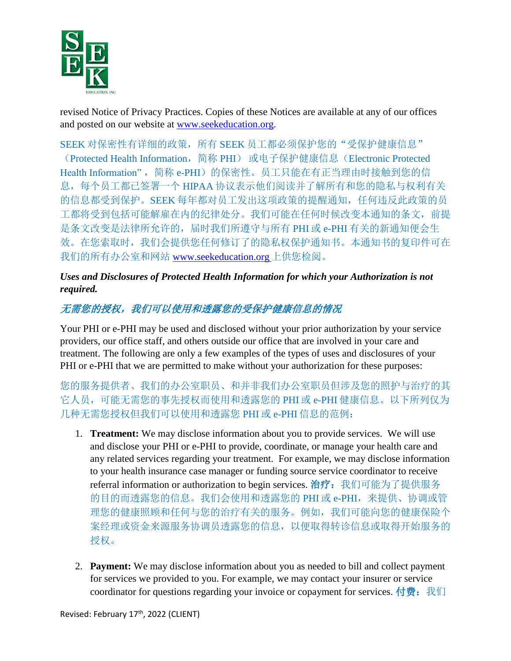

revised Notice of Privacy Practices. Copies of these Notices are available at any of our offices and posted on our website at [www.seekeducation.org.](http://www.seekeducation.org/)

SEEK 对保密性有详细的政策,所有 SEEK 员工都必须保护您的"受保护健康信息" (Protected Health Information,简称 PHI) 或电子保护健康信息(Electronic Protected Health Information", 简称 e-PHI) 的保密性。员工只能在有正当理由时接触到您的信 息,每个员工都已签署一个 HIPAA 协议表示他们阅读并了解所有和您的隐私与权利有关 的信息都受到保护。SEEK 每年都对员工发出这项政策的提醒通知,任何违反此政策的员 工都将受到包括可能解雇在内的纪律处分。我们可能在任何时候改变本通知的条文,前提 是条文改变是法律所允许的,届时我们所遵守与所有 PHI 或 e-PHI 有关的新通知便会生 效。在您索取时,我们会提供您任何修订了的隐私权保护通知书。本通知书的复印件可在 我们的所有办公室和网站 [www.seekeducation.org](http://www.seekeducation.org/) 上供您检阅。

### *Uses and Disclosures of Protected Health Information for which your Authorization is not required.*

# 无需您的授权,我们可以使用和透露您的受保护健康信息的情况

Your PHI or e-PHI may be used and disclosed without your prior authorization by your service providers, our office staff, and others outside our office that are involved in your care and treatment. The following are only a few examples of the types of uses and disclosures of your PHI or e-PHI that we are permitted to make without your authorization for these purposes:

您的服务提供者、我们的办公室职员、和并非我们办公室职员但涉及您的照护与治疗的其 它人员,可能无需您的事先授权而使用和透露您的 PHI 或 e-PHI 健康信息。以下所列仅为 几种无需您授权但我们可以使用和透露您 PHI 或 e-PHI 信息的范例:

- 1. **Treatment:** We may disclose information about you to provide services. We will use and disclose your PHI or e-PHI to provide, coordinate, or manage your health care and any related services regarding your treatment. For example, we may disclose information to your health insurance case manager or funding source service coordinator to receive referral information or authorization to begin services. 治疗: 我们可能为了提供服务 的目的而透露您的信息。我们会使用和透露您的 PHI 或 e-PHI,来提供、协调或管 理您的健康照顾和任何与您的治疗有关的服务。例如,我们可能向您的健康保险个 案经理或资金来源服务协调员透露您的信息,以便取得转诊信息或取得开始服务的 授权。
- 2. **Payment:** We may disclose information about you as needed to bill and collect payment for services we provided to you. For example, we may contact your insurer or service coordinator for questions regarding your invoice or copayment for services. 付费: 我们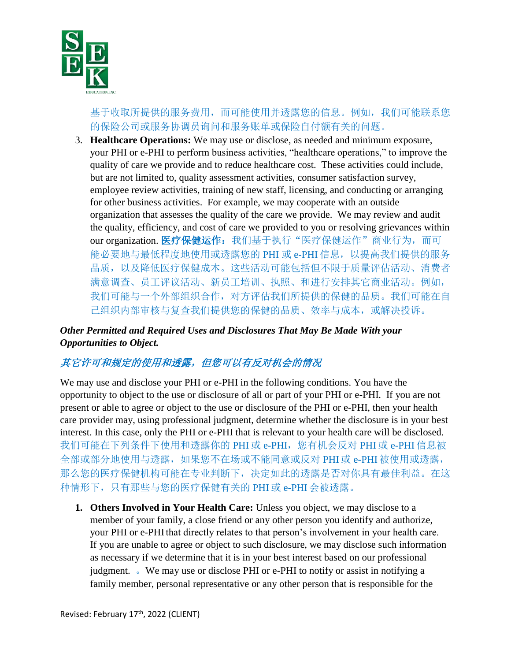

基于收取所提供的服务费用,而可能使用并透露您的信息。例如,我们可能联系您 的保险公司或服务协调员询问和服务账单或保险自付额有关的问题。

3. **Healthcare Operations:** We may use or disclose, as needed and minimum exposure, your PHI or e-PHI to perform business activities, "healthcare operations," to improve the quality of care we provide and to reduce healthcare cost. These activities could include, but are not limited to, quality assessment activities, consumer satisfaction survey, employee review activities, training of new staff, licensing, and conducting or arranging for other business activities. For example, we may cooperate with an outside organization that assesses the quality of the care we provide. We may review and audit the quality, efficiency, and cost of care we provided to you or resolving grievances within our organization. 医疗保健运作: 我们基于执行"医疗保健运作"商业行为,而可 能必要地与最低程度地使用或透露您的 PHI 或 e-PHI 信息,以提高我们提供的服务 品质,以及降低医疗保健成本。这些活动可能包括但不限于质量评估活动、消费者 满意调查、员工评议活动、新员工培训、执照、和进行安排其它商业活动。例如, 我们可能与一个外部组织合作,对方评估我们所提供的保健的品质。我们可能在自 己组织内部审核与复查我们提供您的保健的品质、效率与成本,或解决投诉。

### *Other Permitted and Required Uses and Disclosures That May Be Made With your Opportunities to Object.*

# 其它许可和规定的使用和透露,但您可以有反对机会的情况

We may use and disclose your PHI or e-PHI in the following conditions. You have the opportunity to object to the use or disclosure of all or part of your PHI or e-PHI. If you are not present or able to agree or object to the use or disclosure of the PHI or e-PHI, then your health care provider may, using professional judgment, determine whether the disclosure is in your best interest. In this case, only the PHI or e-PHI that is relevant to your health care will be disclosed. 我们可能在下列条件下使用和透露你的 PHI 或 e-PHI, 您有机会反对 PHI 或 e-PHI 信息被 全部或部分地使用与透露,如果您不在场或不能同意或反对 PHI 或 e-PHI 被使用或透露, 那么您的医疗保健机构可能在专业判断下,决定如此的透露是否对你具有最佳利益。在这 种情形下,只有那些与您的医疗保健有关的 PHI 或 e-PHI 会被透露。

**1. Others Involved in Your Health Care:** Unless you object, we may disclose to a member of your family, a close friend or any other person you identify and authorize, your PHI or e-PHI that directly relates to that person's involvement in your health care. If you are unable to agree or object to such disclosure, we may disclose such information as necessary if we determine that it is in your best interest based on our professional judgment. 。We may use or disclose PHI or e-PHI to notify or assist in notifying a family member, personal representative or any other person that is responsible for the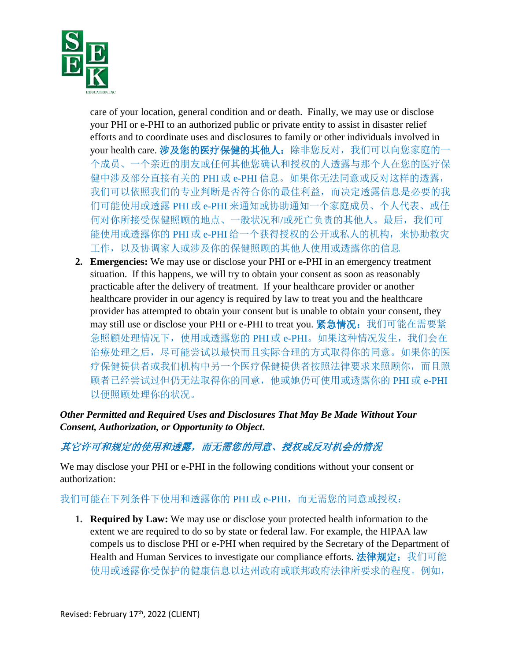

care of your location, general condition and or death. Finally, we may use or disclose your PHI or e-PHI to an authorized public or private entity to assist in disaster relief efforts and to coordinate uses and disclosures to family or other individuals involved in your health care. 涉及您的医疗保健的其他人:除非您反对,我们可以向您家庭的一 个成员、一个亲近的朋友或任何其他您确认和授权的人透露与那个人在您的医疗保 健中涉及部分直接有关的 PHI 或 e-PHI 信息。如果你无法同意或反对这样的透露, 我们可以依照我们的专业判断是否符合你的最佳利益,而决定透露信息是必要的我 们可能使用或透露 PHI 或 e-PHI 来通知或协助通知一个家庭成员、个人代表、或任 何对你所接受保健照顾的地点、一般状况和/或死亡负责的其他人。最后,我们可 能使用或透露你的 PHI 或 e-PHI 给一个获得授权的公开或私人的机构, 来协助救灾 工作,以及协调家人或涉及你的保健照顾的其他人使用或透露你的信息

**2. Emergencies:** We may use or disclose your PHI or e-PHI in an emergency treatment situation. If this happens, we will try to obtain your consent as soon as reasonably practicable after the delivery of treatment. If your healthcare provider or another healthcare provider in our agency is required by law to treat you and the healthcare provider has attempted to obtain your consent but is unable to obtain your consent, they may still use or disclose your PHI or e-PHI to treat you. 紧急情况: 我们可能在需要紧 急照顧处理情况下, 使用或透露您的 PHI 或 e-PHI。如果这种情况发生, 我们会在 治療处理之后,尽可能尝试以最快而且实际合理的方式取得你的同意。如果你的医 疗保健提供者或我们机构中另一个医疗保健提供者按照法律要求来照顾你,而且照 顾者已经尝试过但仍无法取得你的同意,他或她仍可使用或透露你的 PHI 或 e-PHI 以便照顾处理你的状况。

### *Other Permitted and Required Uses and Disclosures That May Be Made Without Your Consent, Authorization, or Opportunity to Object***.**

# 其它许可和规定的使用和透露,而无需您的同意、授权或反对机会的情況

We may disclose your PHI or e-PHI in the following conditions without your consent or authorization:

### 我们可能在下列条件下使用和透露你的 PHI 或 e-PHI, 而无需您的同意或授权:

**1. Required by Law:** We may use or disclose your protected health information to the extent we are required to do so by state or federal law. For example, the HIPAA law compels us to disclose PHI or e-PHI when required by the Secretary of the Department of Health and Human Services to investigate our compliance efforts. 法律规定: 我们可能 使用或透露你受保护的健康信息以达州政府或联邦政府法律所要求的程度。例如,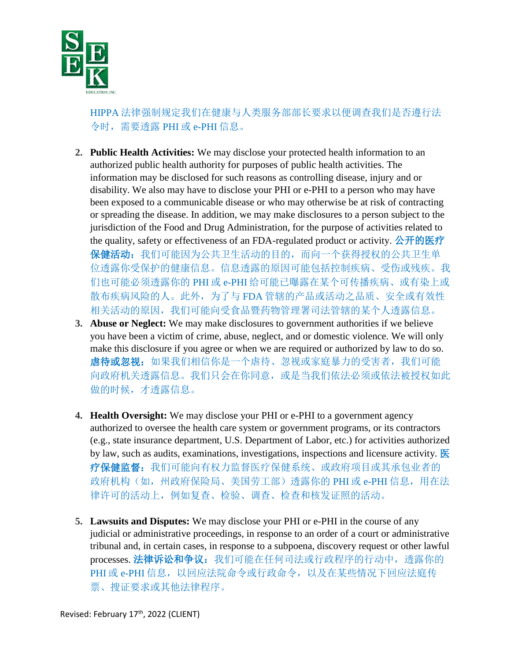

HIPPA 法律强制规定我们在健康与人类服务部部长要求以便调查我们是否遵行法 令时,需要透露 PHI 或 e-PHI 信息。

- **2. Public Health Activities:** We may disclose your protected health information to an authorized public health authority for purposes of public health activities. The information may be disclosed for such reasons as controlling disease, injury and or disability. We also may have to disclose your PHI or e-PHI to a person who may have been exposed to a communicable disease or who may otherwise be at risk of contracting or spreading the disease. In addition, we may make disclosures to a person subject to the jurisdiction of the Food and Drug Administration, for the purpose of activities related to the quality, safety or effectiveness of an FDA-regulated product or activity. 公开的医疗 保健活动:我们可能因为公共卫生活动的目的,而向一个获得授权的公共卫生单 位透露你受保护的健康信息。信息透露的原因可能包括控制疾病、受伤或残疾。我 们也可能必须透露你的 PHI 或 e-PHI 给可能已曝露在某个可传播疾病、或有染上或 散布疾病风险的人。此外,为了与 FDA 管辖的产品或活动之品质、安全或有效性 相关活动的原因,我们可能向受食品暨药物管理署司法管辖的某个人透露信息。
- **3. Abuse or Neglect:** We may make disclosures to government authorities if we believe you have been a victim of crime, abuse, neglect, and or domestic violence. We will only make this disclosure if you agree or when we are required or authorized by law to do so. 虐待或忽视:如果我们相信你是一个虐待、忽视或家庭暴力的受害者,我们可能 向政府机关透露信息。我们只会在你同意,或是当我们依法必须或依法被授权如此 做的时候,才透露信息。
- **4. Health Oversight:** We may disclose your PHI or e-PHI to a government agency authorized to oversee the health care system or government programs, or its contractors (e.g., state insurance department, U.S. Department of Labor, etc.) for activities authorized by law, such as audits, examinations, investigations, inspections and licensure activity.  $\overline{\mathbb{E}}$ 疗保健监督:我们可能向有权力监督医疗保健系统、或政府项目或其承包业者的 政府机构(如,州政府保险局、美国劳工部)透露你的 PHI 或 e-PHI 信息,用在法 律许可的活动上,例如复查、检验、调查、检查和核发证照的活动。
- **5. Lawsuits and Disputes:** We may disclose your PHI or e-PHI in the course of any judicial or administrative proceedings, in response to an order of a court or administrative tribunal and, in certain cases, in response to a subpoena, discovery request or other lawful processes. 法律诉讼和争议: 我们可能在任何司法或行政程序的行动中,透露你的 PHI 或 e-PHI 信息, 以回应法院命令或行政命令, 以及在某些情况下回应法庭传 票、搜证要求或其他法律程序。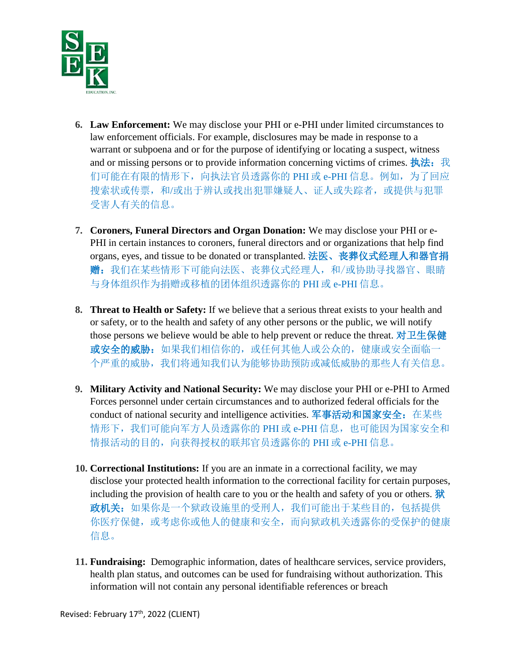

- **6. Law Enforcement:** We may disclose your PHI or e-PHI under limited circumstances to law enforcement officials. For example, disclosures may be made in response to a warrant or subpoena and or for the purpose of identifying or locating a suspect, witness and or missing persons or to provide information concerning victims of crimes. 执法: 我 们可能在有限的情形下,向执法官员透露你的 PHI 或 e-PHI 信息。例如, 为了回应 搜索状或传票,和/或出于辨认或找出犯罪嫌疑人、证人或失踪者,或提供与犯罪 受害人有关的信息。
- **7. Coroners, Funeral Directors and Organ Donation:** We may disclose your PHI or e-PHI in certain instances to coroners, funeral directors and or organizations that help find organs, eyes, and tissue to be donated or transplanted. 法医、丧葬仪式经理人和器官捐 赠:我们在某些情形下可能向法医、丧葬仪式经理人,和/或协助寻找器官、眼睛 与身体组织作为捐赠或移植的团体组织透露你的 PHI 或 e-PHI 信息。
- **8. Threat to Health or Safety:** If we believe that a serious threat exists to your health and or safety, or to the health and safety of any other persons or the public, we will notify those persons we believe would be able to help prevent or reduce the threat. 对卫生保健 或安全的威胁: 如果我们相信你的, 或任何其他人或公众的, 健康或安全面临一 个严重的威胁,我们将通知我们认为能够协助预防或减低威胁的那些人有关信息。
- **9. Military Activity and National Security:** We may disclose your PHI or e-PHI to Armed Forces personnel under certain circumstances and to authorized federal officials for the conduct of national security and intelligence activities. 军事活动和国家安全: 在某些 情形下,我们可能向军方人员透露你的 PHI 或 e-PHI 信息,也可能因为国家安全和 情报活动的目的,向获得授权的联邦官员透露你的 PHI 或 e-PHI 信息。
- **10. Correctional Institutions:** If you are an inmate in a correctional facility, we may disclose your protected health information to the correctional facility for certain purposes, including the provision of health care to you or the health and safety of you or others.  $\frac{\partial \mathbf{F}}{\partial \mathbf{F}}$ 政机关:如果你是一个狱政设施里的受刑人,我们可能出于某些目的,包括提供 你医疗保健,或考虑你或他人的健康和安全,而向狱政机关透露你的受保护的健康 信息。
- **11. Fundraising:** Demographic information, dates of healthcare services, service providers, health plan status, and outcomes can be used for fundraising without authorization. This information will not contain any personal identifiable references or breach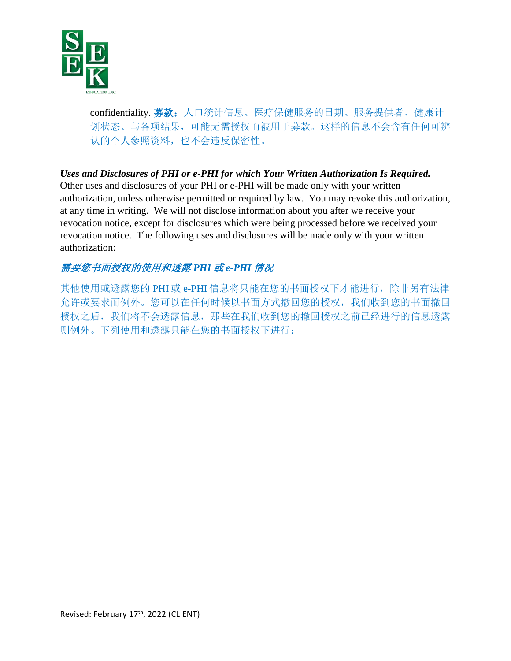

confidentiality. 募款: 人口统计信息、医疗保健服务的日期、服务提供者、健康计 划状态、与各项结果,可能无需授权而被用于募款。这样的信息不会含有任何可辨 认的个人參照资料,也不会违反保密性。

#### *Uses and Disclosures of PHI or e-PHI for which Your Written Authorization Is Required.*

Other uses and disclosures of your PHI or e-PHI will be made only with your written authorization, unless otherwise permitted or required by law. You may revoke this authorization, at any time in writing. We will not disclose information about you after we receive your revocation notice, except for disclosures which were being processed before we received your revocation notice. The following uses and disclosures will be made only with your written authorization:

### 需要您书面授权的使用和透露 *PHI* 或 *e-PHI* 情况

其他使用或透露您的 PHI 或 e-PHI 信息将只能在您的书面授权下才能进行,除非另有法律 允许或要求而例外。您可以在任何时候以书面方式撤回您的授权,我们收到您的书面撤回 授权之后,我们将不会透露信息,那些在我们收到您的撤回授权之前已经进行的信息透露 则例外。下列使用和透露只能在您的书面授权下进行: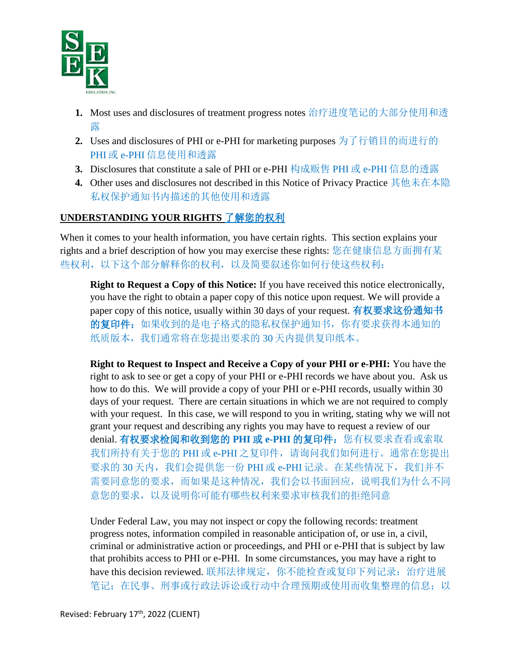

- **1.** Most uses and disclosures of treatment progress notes 治疗进度笔记的大部分使用和透 露
- **2.** Uses and disclosures of PHI or e-PHI for marketing purposes 为了行销目的而进行的 PHI 或 e-PHI 信息使用和透露
- **3.** Disclosures that constitute a sale of PHI or e-PHI 构成贩售 PHI 或 e-PHI 信息的透露
- **4.** Other uses and disclosures not described in this Notice of Privacy Practice 其他未在本隐 私权保护通知书内描述的其他使用和透露

### **UNDERSTANDING YOUR RIGHTS** 了解您的权利

When it comes to your health information, you have certain rights. This section explains your rights and a brief description of how you may exercise these rights: 您在健康信息方面拥有某 些权利,以下这个部分解释你的权利,以及简要叙述你如何行使这些权利:

**Right to Request a Copy of this Notice:** If you have received this notice electronically, you have the right to obtain a paper copy of this notice upon request. We will provide a paper copy of this notice, usually within 30 days of your request. 有权要求这份通知书 的复印件: 如果收到的是电子格式的隐私权保护通知书, 你有要求获得本通知的 纸质版本,我们通常将在您提出要求的 30 天内提供复印纸本。

**Right to Request to Inspect and Receive a Copy of your PHI or e-PHI:** You have the right to ask to see or get a copy of your PHI or e-PHI records we have about you. Ask us how to do this. We will provide a copy of your PHI or e-PHI records, usually within 30 days of your request. There are certain situations in which we are not required to comply with your request. In this case, we will respond to you in writing, stating why we will not grant your request and describing any rights you may have to request a review of our denial. 有权要求检阅和收到您的 PHI 或 e-PHI 的复印件: 您有权要求查看或索取 我们所持有关于您的 PHI 或 e-PHI 之复印件,请询问我们如何进行。通常在您提出 要求的 30 天内,我们会提供您一份 PHI 或 e-PHI 记录。在某些情况下,我们并不 需要同意您的要求,而如果是这种情况,我们会以书面回应,说明我们为什么不同 意您的要求,以及说明你可能有哪些权利来要求审核我们的拒绝同意

Under Federal Law, you may not inspect or copy the following records: treatment progress notes, information compiled in reasonable anticipation of, or use in, a civil, criminal or administrative action or proceedings, and PHI or e-PHI that is subject by law that prohibits access to PHI or e-PHI. In some circumstances, you may have a right to have this decision reviewed. 联邦法律规定, 你不能检查或复印下列记录: 治疗进展 笔记;在民事、刑事或行政法诉讼或行动中合理预期或使用而收集整理的信息;以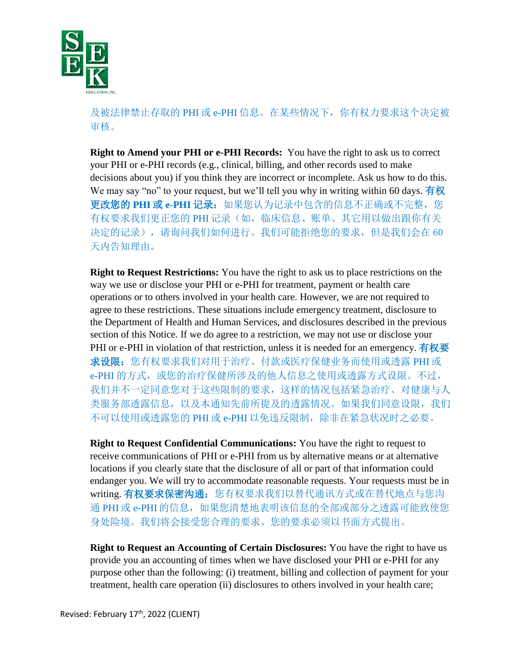

## 及被法律禁止存取的 PHI 或 e-PHI 信息。在某些情况下,你有权力要求这个决定被 审核。

**Right to Amend your PHI or e-PHI Records:** You have the right to ask us to correct your PHI or e-PHI records (e.g., clinical, billing, and other records used to make decisions about you) if you think they are incorrect or incomplete. Ask us how to do this. We may say "no" to your request, but we'll tell you why in writing within 60 days. 有权 更改您的 **PHI** 或 **e-PHI** 记录:如果您认为记录中包含的信息不正确或不完整,您 有权要求我们更正您的 PHI 记录(如,临床信息、账单、其它用以做出跟你有关 决定的记录),请询问我们如何进行。我们可能拒绝您的要求,但是我们会在 60 天内告知理由。

**Right to Request Restrictions:** You have the right to ask us to place restrictions on the way we use or disclose your PHI or e-PHI for treatment, payment or health care operations or to others involved in your health care. However, we are not required to agree to these restrictions. These situations include emergency treatment, disclosure to the Department of Health and Human Services, and disclosures described in the previous section of this Notice. If we do agree to a restriction, we may not use or disclose your PHI or e-PHI in violation of that restriction, unless it is needed for an emergency. 有权要 求设限:您有权要求我们对用于治疗、付款或医疗保健业务而使用或透露 PHI 或 e-PHI 的方式, 或您的治疗保健所涉及的他人信息之使用或透露方式设限。不过, 我们并不一定同意您对于这些限制的要求,这样的情况包括紧急治疗、对健康与人 类服务部透露信息,以及本通知先前所提及的透露情况。如果我们同意设限,我们 不可以使用或透露您的 PHI 或 e-PHI 以免违反限制,除非在紧急状况时之必要。

**Right to Request Confidential Communications:** You have the right to request to receive communications of PHI or e-PHI from us by alternative means or at alternative locations if you clearly state that the disclosure of all or part of that information could endanger you. We will try to accommodate reasonable requests. Your requests must be in writing. 有权要求保密沟通: 您有权要求我们以替代通讯方式或在替代地点与您沟 通 PHI 或 e-PHI 的信息, 如果您清楚地表明该信息的全部或部分之透露可能致使您 身处险境。我们将会接受您合理的要求。您的要求必须以书面方式提出。

**Right to Request an Accounting of Certain Disclosures:** You have the right to have us provide you an accounting of times when we have disclosed your PHI or e-PHI for any purpose other than the following: (i) treatment, billing and collection of payment for your treatment, health care operation (ii) disclosures to others involved in your health care;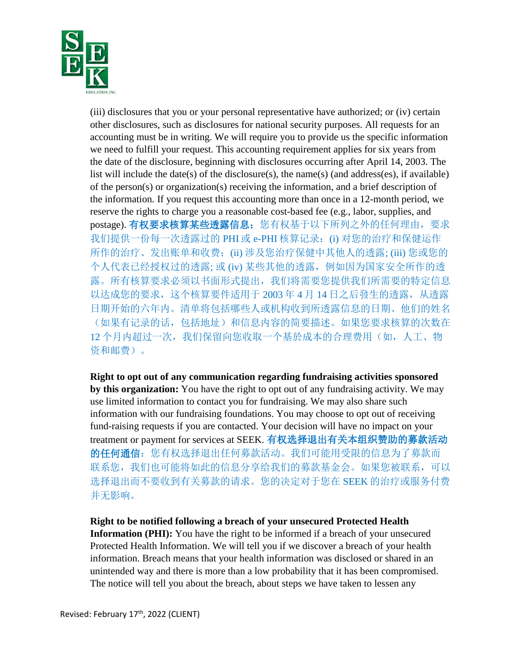

(iii) disclosures that you or your personal representative have authorized; or (iv) certain other disclosures, such as disclosures for national security purposes. All requests for an accounting must be in writing. We will require you to provide us the specific information we need to fulfill your request. This accounting requirement applies for six years from the date of the disclosure, beginning with disclosures occurring after April 14, 2003. The list will include the date(s) of the disclosure(s), the name(s) (and address(es), if available) of the person(s) or organization(s) receiving the information, and a brief description of the information. If you request this accounting more than once in a 12-month period, we reserve the rights to charge you a reasonable cost-based fee (e.g., labor, supplies, and postage). 有权要求核算某些透露信息: 您有权基于以下所列之外的任何理由, 要求 我们提供一份每一次透露过的 PHI 或 e-PHI 核算记录: (i) 对您的治疗和保健运作 所作的治疗、发出账单和收费;(ii) 涉及您治疗保健中其他人的透露; (iii) 您或您的 个人代表已经授权过的透露; 或 (iv) 某些其他的透露,例如因为国家安全所作的透 露。所有核算要求必须以书面形式提出,我们将需要您提供我们所需要的特定信息 以达成您的要求,这个核算要件适用于 2003 年 4 月 14 日之后發生的透露,从透露 日期开始的六年内。清单将包括哪些人或机构收到所透露信息的日期、他们的姓名 (如果有记录的话,包括地址)和信息内容的简要描述。如果您要求核算的次数在 12 个月内超过一次,我们保留向您收取一个基於成本的合理费用(如,人工、物 资和邮费)。

**Right to opt out of any communication regarding fundraising activities sponsored by this organization:** You have the right to opt out of any fundraising activity. We may use limited information to contact you for fundraising. We may also share such information with our fundraising foundations. You may choose to opt out of receiving fund-raising requests if you are contacted. Your decision will have no impact on your treatment or payment for services at SEEK. 有权选择退出有关本组织赞助的募款活动 的任何通信:您有权选择退出任何募款活动。我们可能用受限的信息为了募款而 联系您,我们也可能将如此的信息分享给我们的募款基金会。如果您被联系,可以 选择退出而不要收到有关募款的请求。您的决定对于您在 SEEK 的治疗或服务付费 并无影响。

**Right to be notified following a breach of your unsecured Protected Health Information (PHI):** You have the right to be informed if a breach of your unsecured Protected Health Information. We will tell you if we discover a breach of your health information. Breach means that your health information was disclosed or shared in an unintended way and there is more than a low probability that it has been compromised. The notice will tell you about the breach, about steps we have taken to lessen any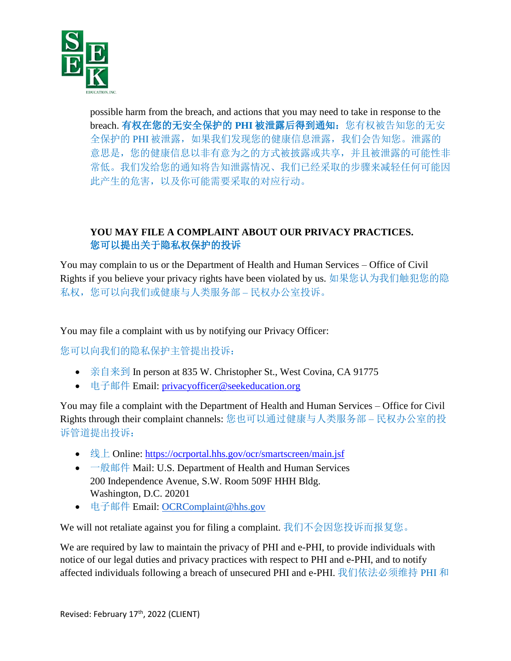

possible harm from the breach, and actions that you may need to take in response to the breach. 有权在您的无安全保护的 PHI 被泄露后得到通知:您有权被告知您的无安 全保护的 PHI 被泄露, 如果我们发现您的健康信息泄露, 我们会告知您。泄露的 意思是,您的健康信息以非有意为之的方式被披露或共享,并且被泄露的可能性非 常低。我们发给您的通知将告知泄露情况、我们已经采取的步骤来减轻任何可能因 此产生的危害,以及你可能需要采取的对应行动。

### **YOU MAY FILE A COMPLAINT ABOUT OUR PRIVACY PRACTICES.** 您可以提出关于隐私权保护的投诉

You may complain to us or the Department of Health and Human Services – Office of Civil Rights if you believe your privacy rights have been violated by us. 如果您认为我们触犯您的隐 私权,您可以向我们或健康与人类服务部 – 民权办公室投诉。

You may file a complaint with us by notifying our Privacy Officer:

您可以向我们的隐私保护主管提出投诉:

- 亲自来到 In person at 835 W. Christopher St., West Covina, CA 91775
- 电子邮件 Email: [privacyofficer@seekeducation.org](mailto:privacyofficer@seekeducation.org)

You may file a complaint with the Department of Health and Human Services – Office for Civil Rights through their complaint channels: 您也可以通过健康与人类服务部 – 民权办公室的投 诉管道提出投诉:

- 线上 Online:<https://ocrportal.hhs.gov/ocr/smartscreen/main.jsf>
- 一般邮件 Mail: U.S. Department of Health and Human Services 200 Independence Avenue, S.W. Room 509F HHH Bldg. Washington, D.C. 20201
- 电子邮件 Email: [OCRComplaint@hhs.gov](mailto:OCRComplaint@hhs.gov)

We will not retaliate against you for filing a complaint. 我们不会因您投诉而报复您。

We are required by law to maintain the privacy of PHI and e-PHI, to provide individuals with notice of our legal duties and privacy practices with respect to PHI and e-PHI, and to notify affected individuals following a breach of unsecured PHI and e-PHI. 我们依法必须维持 PHI 和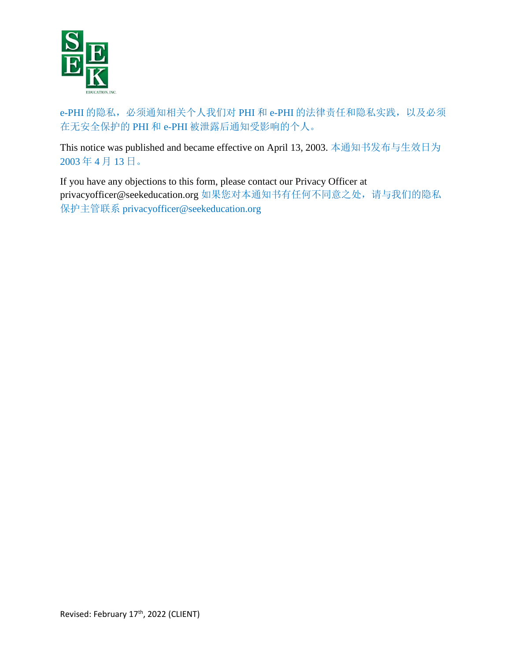

e-PHI 的隐私,必须通知相关个人我们对 PHI 和 e-PHI 的法律责任和隐私实践,以及必须 在无安全保护的 PHI 和 e-PHI 被泄露后通知受影响的个人。

This notice was published and became effective on April 13, 2003. 本通知书发布与生效日为 2003 年 4 月 13 日。

If you have any objections to this form, please contact our Privacy Officer at privacyofficer@seekeducation.org 如果您对本通知书有任何不同意之处,请与我们的隐私 保护主管联系 privacyofficer@seekeducation.org